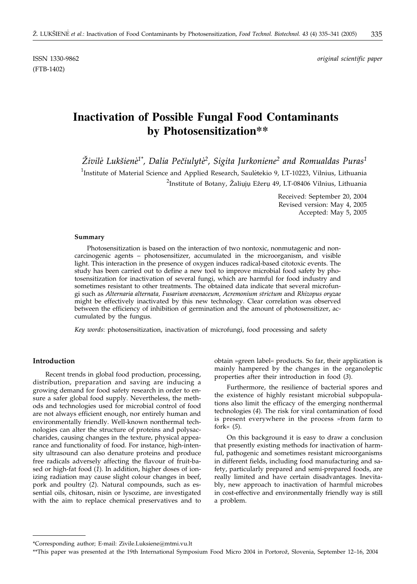(FTB-1402)

ISSN 1330-9862 *original scientific paper*

# **Inactivation of Possible Fungal Food Contaminants by Photosensitization\*\***

 $\check{Z}$ ivilė Lukšienė<sup>1\*</sup>, Dalia Pečiulytė<sup>2</sup>, Sigita Jurkoniene<sup>2</sup> and Romualdas Puras<sup>1</sup>

<sup>1</sup>Institute of Material Science and Applied Research, Sauletekio 9, LT-10223, Vilnius, Lithuania  $^{2}$ Institute of Botany, Žaliųjų Ežerų 49, LT-08406 Vilnius, Lithuania

> Received: September 20, 2004 Revised version: May 4, 2005 Accepted: May 5, 2005

#### **Summary**

Photosensitization is based on the interaction of two nontoxic, nonmutagenic and noncarcinogenic agents – photosensitizer, accumulated in the microorganism, and visible light. This interaction in the presence of oxygen induces radical-based citotoxic events. The study has been carried out to define a new tool to improve microbial food safety by photosensitization for inactivation of several fungi, which are harmful for food industry and sometimes resistant to other treatments. The obtained data indicate that several microfungi such as *Alternaria alternata, Fusarium avenaceum, Acremonium strictum* and *Rhizopus oryzae* might be effectively inactivated by this new technology. Clear correlation was observed between the efficiency of inhibition of germination and the amount of photosensitizer, accumulated by the fungus.

*Key words*: photosensitization, inactivation of microfungi, food processing and safety

## **Introduction**

Recent trends in global food production, processing, distribution, preparation and saving are inducing a growing demand for food safety research in order to ensure a safer global food supply. Nevertheless, the methods and technologies used for microbial control of food are not always efficient enough, nor entirely human and environmentally friendly. Well-known nonthermal technologies can alter the structure of proteins and polysaccharides, causing changes in the texture, physical appearance and functionality of food. For instance, high-intensity ultrasound can also denature proteins and produce free radicals adversely affecting the flavour of fruit-based or high-fat food (*1*). In addition, higher doses of ionizing radiation may cause slight colour changes in beef, pork and poultry (*2*). Natural compounds, such as essential oils, chitosan, nisin or lysozime, are investigated with the aim to replace chemical preservatives and to

obtain »green label« products. So far, their application is mainly hampered by the changes in the organoleptic properties after their introduction in food (*3*).

Furthermore, the resilience of bacterial spores and the existence of highly resistant microbial subpopulations also limit the efficacy of the emerging nonthermal technologies (*4*). The risk for viral contamination of food is present everywhere in the process »from farm to fork« (*5*).

On this background it is easy to draw a conclusion that presently existing methods for inactivation of harmful, pathogenic and sometimes resistant microorganisms in different fields, including food manufacturing and safety, particularly prepared and semi-prepared foods, are really limited and have certain disadvantages. Inevitably, new approach to inactivation of harmful microbes in cost-effective and environmentally friendly way is still a problem.

<sup>\*</sup>Corresponding author; E-mail: Zivile.Luksiene@mtmi.vu.lt

<sup>\*\*</sup>This paper was presented at the 19th International Symposium Food Micro 2004 in Portorož, Slovenia, September 12-16, 2004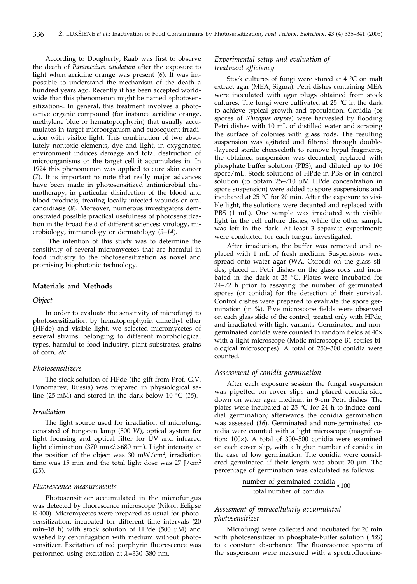According to Dougherty, Raab was first to observe the death of *Paramecium caudatum* after the exposure to light when acridine orange was present (*6*). It was impossible to understand the mechanism of the death a hundred years ago. Recently it has been accepted worldwide that this phenomenon might be named »photosensitization«. In general, this treatment involves a photoactive organic compound (for instance acridine orange, methylene blue or hematoporphyrin) that usually accumulates in target microorganism and subsequent irradiation with visible light. This combination of two absolutely nontoxic elements, dye and light, in oxygenated environment induces damage and total destruction of microorganisms or the target cell it accumulates in. In 1924 this phenomenon was applied to cure skin cancer (*7*). It is important to note that really major advances have been made in photosensitized antimicrobial chemotherapy, in particular disinfection of the blood and blood products, treating locally infected wounds or oral candidiasis (*8*). Moreover, numerous investigators demonstrated possible practical usefulness of photosensitization in the broad field of different sciences: virology, microbiology, immunology or dermatology (*9–14*).

The intention of this study was to determine the sensitivity of several micromycetes that are harmful in food industry to the photosensitization as novel and promising biophotonic technology.

#### **Materials and Methods**

#### *Object*

In order to evaluate the sensitivity of microfungi to photosensitization by hematoporphyrin dimethyl ether (HPde) and visible light, we selected micromycetes of several strains, belonging to different morphological types, harmful to food industry, plant substrates, grains of corn, *etc*.

#### *Photosensitizers*

The stock solution of HPde (the gift from Prof. G.V. Ponomarev, Russia) was prepared in physiological saline (25 mM) and stored in the dark below 10  $\degree$ C (15).

#### *Irradiation*

The light source used for irradiation of microfungi consisted of tungsten lamp (500 W), optical system for light focusing and optical filter for UV and infrared light elimination (370 nm< $\lambda$ >680 nm). Light intensity at the position of the object was 30 mW/cm<sup>2</sup>, irradiation time was 15 min and the total light dose was  $27$  J/cm<sup>2</sup> (*15*).

#### *Fluorescence measurements*

Photosensitizer accumulated in the microfungus was detected by fluorescence microscope (Nikon Eclipse E-400). Micromycetes were prepared as usual for photosensitization, incubated for different time intervals (20 min–18 h) with stock solution of HPde (500 µM) and washed by centrifugation with medium without photosensitizer. Excitation of red porphyrin fluorescence was performed using excitation at  $\lambda$ =330–380 nm.

## *Experimental setup and evaluation of treatment efficiency*

Stock cultures of fungi were stored at 4 °C on malt extract agar (MEA, Sigma). Petri dishes containing MEA were inoculated with agar plugs obtained from stock cultures. The fungi were cultivated at 25 °C in the dark to achieve typical growth and sporulation. Conidia (or spores of *Rhizopus oryzae*) were harvested by flooding Petri dishes with 10 mL of distilled water and scraping the surface of colonies with glass rods. The resulting suspension was agitated and filtered through double- -layered sterile cheesecloth to remove hypal fragments; the obtained suspension was decanted, replaced with phosphate buffer solution (PBS), and diluted up to 106 spore/mL. Stock solutions of HPde in PBS or in control solution (to obtain 25–710 µM HPde concentration in spore suspension) were added to spore suspensions and incubated at 25 °C for 20 min. After the exposure to visible light, the solutions were decanted and replaced with PBS (1 mL). One sample was irradiated with visible light in the cell culture dishes, while the other sample was left in the dark. At least 3 separate experiments were conducted for each fungus investigated.

After irradiation, the buffer was removed and replaced with 1 mL of fresh medium. Suspensions were spread onto water agar (WA, Oxford) on the glass slides, placed in Petri dishes on the glass rods and incubated in the dark at 25 °C. Plates were incubated for 24–72 h prior to assaying the number of germinated spores (or conidia) for the detection of their survival. Control dishes were prepared to evaluate the spore germination (in %). Five microscope fields were observed on each glass slide of the control, treated only with HPde, and irradiated with light variants. Germinated and nongerminated conidia were counted in random fields at 40× with a light microscope (Motic microscope B1-setries biological microscopes). A total of 250–300 conidia were counted.

## *Assessment of conidia germination*

After each exposure session the fungal suspension was pipetted on cover slips and placed conidia-side down on water agar medium in 9-cm Petri dishes. The plates were incubated at 25 °C for 24 h to induce conidial germination; afterwards the conidia germination was assessed (*16*). Germinated and non-germinated conidia were counted with a light microscope (magnification: 100×). A total of 300–500 conidia were examined on each cover slip, with a higher number of conidia in the case of low germination. The conidia were considered germinated if their length was about 20 µm. The percentage of germination was calculated as follows:

number of germinated conidia  $\times 100$ <br>total number of conidia

## *Assesment of intracellularly accumulated photosensitizer*

Microfungi were collected and incubated for 20 min with photosensitizer in phosphate-buffer solution (PBS) to a constant absorbance. The fluorescence spectra of the suspension were measured with a spectrofluorime-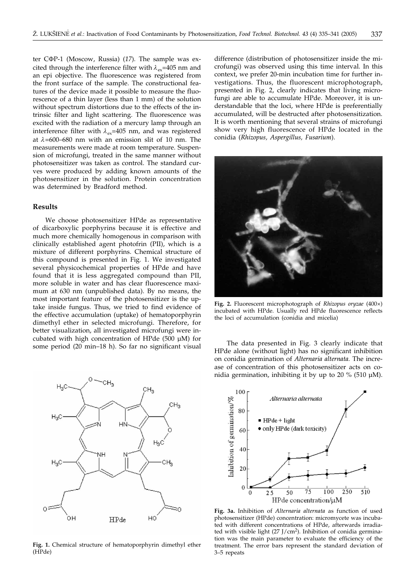ter C<sub>Φ</sub>P-1 (Moscow, Russia) (17). The sample was excited through the interference filter with  $\lambda_{\text{av}}$ =405 nm and an epi objective. The fluorescence was registered from the front surface of the sample. The constructional features of the device made it possible to measure the fluorescence of a thin layer (less than 1 mm) of the solution without spectrum distortions due to the effects of the intrinsic filter and light scattering. The fluorescence was excited with the radiation of a mercury lamp through an interference filter with  $\lambda_{ex}$ =405 nm, and was registered at  $\lambda$ =600–680 nm with an emission slit of 10 nm. The measurements were made at room temperature. Suspension of microfungi, treated in the same manner without photosensitizer was taken as control. The standard curves were produced by adding known amounts of the photosensitizer in the solution. Protein concentration was determined by Bradford method.

## **Results**

We choose photosensitizer HPde as representative of dicarboxylic porphyrins because it is effective and much more chemically homogenous in comparison with clinically established agent photofrin (PII), which is a mixture of different porphyrins. Chemical structure of this compound is presented in Fig. 1. We investigated several physicochemical properties of HPde and have found that it is less aggregated compound than PII, more soluble in water and has clear fluorescence maximum at 630 nm (unpublished data). By no means, the most important feature of the photosensitizer is the uptake inside fungus. Thus, we tried to find evidence of the effective accumulation (uptake) of hematoporphyrin dimethyl ether in selected microfungi. Therefore, for better visualization, all investigated microfungi were incubated with high concentration of HPde (500 µM) for some period (20 min–18 h). So far no significant visual



**Fig. 1.** Chemical structure of hematoporphyrin dimethyl ether (HPde)

difference (distribution of photosensitizer inside the microfungi) was observed using this time interval. In this context, we prefer 20-min incubation time for further investigations. Thus, the fluorescent microphotograph, presented in Fig. 2, clearly indicates that living microfungi are able to accumulate HPde. Moreover, it is understandable that the loci, where HPde is preferentially accumulated, will be destructed after photosensitization. It is worth mentioning that several strains of microfungi show very high fluorescence of HPde located in the conidia (*Rhizopus, Aspergillus, Fusarium*).



**Fig. 2.** Fluorescent microphotograph of *Rhizopus oryzae* (400×) incubated with HPde. Usually red HPde fluorescence reflects the loci of accumulation (conidia and micelia)

The data presented in Fig. 3 clearly indicate that HPde alone (without light) has no significant inhibition on conidia germination of *Alternaria alternata.* The increase of concentration of this photosensitizer acts on conidia germination, inhibiting it by up to 20 % (510  $\mu$ M).



**Fig. 3a.** Inhibition of *Alternaria alternata* as function of used photosensitizer (HPde) concentration: micromycete was incubated with different concentrations of HPde, afterwards irradiated with visible light  $(27 \text{ J/cm}^2)$ . Inhibition of conidia germination was the main parameter to evaluate the efficiency of the treatment. The error bars represent the standard deviation of 3–5 repeats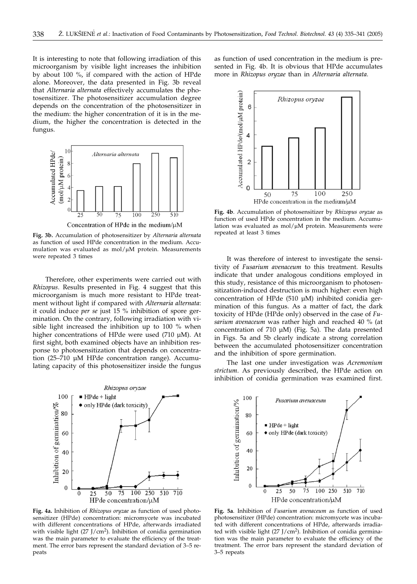It is interesting to note that following irradiation of this microorganism by visible light increases the inhibition by about 100 %, if compared with the action of HPde alone. Moreover, the data presented in Fig. 3b reveal that *Alternaria alternata* effectively accumulates the photosensitizer. The photosensitizer accumulation degree depends on the concentration of the photosensitizer in the medium: the higher concentration of it is in the medium, the higher the concentration is detected in the fungus.



**Fig. 3b.** Accumulation of photosensitizer by *Alternaria alternata* as function of used HPde concentration in the medium. Accumulation was evaluated as  $mol/\mu M$  protein. Measurements were repeated 3 times

Therefore, other experiments were carried out with *Rhizopus*. Results presented in Fig. 4 suggest that this microorganism is much more resistant to HPde treatment without light if compared with *Alternaria alternata*: it could induce *per se* just 15 % inhibition of spore germination. On the contrary, following irradiation with visible light increased the inhibition up to 100 % when higher concentrations of HPde were used (710 µM). At first sight, both examined objects have an inhibition response to photosensitization that depends on concentration (25–710 µM HPde concentration range). Accumulating capacity of this photosensitizer inside the fungus



**Fig. 4a.** Inhibition of *Rhizopus oryzae* as function of used photosensitizer (HPde) concentration: micromycete was incubated with different concentrations of HPde, afterwards irradiated with visible light  $(27 \text{ J/cm}^2)$ . Inhibition of conidia germination was the main parameter to evaluate the efficiency of the treatment. The error bars represent the standard deviation of 3–5 repeats

as function of used concentration in the medium is presented in Fig. 4b. It is obvious that HPde accumulates more in *Rhizopus oryzae* than in *Alternaria alternata.*



**Fig. 4b**. Accumulation of photosensitizer by *Rhizopus oryzae* as function of used HPde concentration in the medium. Accumulation was evaluated as  $mol/\mu M$  protein. Measurements were repeated at least 3 times

It was therefore of interest to investigate the sensitivity of *Fusarium avenaceum* to this treatment. Results indicate that under analogous conditions employed in this study, resistance of this microorganism to photosensitization-induced destruction is much higher: even high concentration of HPde (510 µM) inhibited conidia germination of this fungus. As a matter of fact, the dark toxicity of HPde (HPde only) observed in the case of *Fusarium avenaceum* was rather high and reached 40 % (at concentration of 710 µM) (Fig. 5a). The data presented in Figs. 5a and 5b clearly indicate a strong correlation between the accumulated photosensitizer concentration and the inhibition of spore germination.

The last one under investigation was *Acremonium strictum*. As previously described, the HPde action on inhibition of conidia germination was examined first.



**Fig. 5a**. Inhibition of *Fusarium avenaceum* as function of used photosensitizer (HPde) concentration: micromycete was incubated with different concentrations of HPde, afterwards irradiated with visible light  $(27 \text{ J/cm}^2)$ . Inhibition of conidia germination was the main parameter to evaluate the efficiency of the treatment. The error bars represent the standard deviation of 3–5 repeats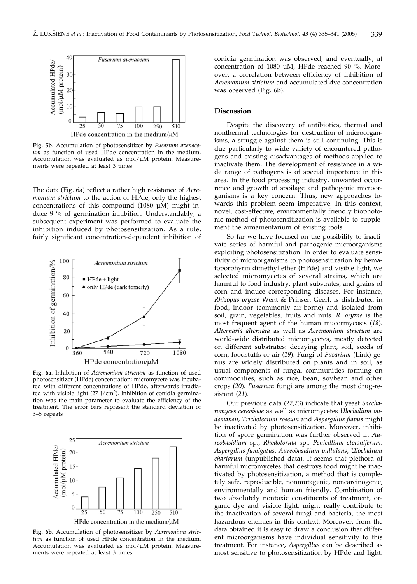

**Fig. 5b**. Accumulation of photosensitizer by *Fusarium avenaceum* as function of used HPde concentration in the medium. Accumulation was evaluated as  $mol/\mu M$  protein. Measurements were repeated at least 3 times

The data (Fig. 6a) reflect a rather high resistance of *Acremonium strictum* to the action of HPde, only the highest concentrations of this compound (1080 µM) might induce 9 % of germination inhibition. Understandably, a subsequent experiment was performed to evaluate the inhibition induced by photosensitization. As a rule, fairly significant concentration-dependent inhibition of



**Fig. 6a**. Inhibition of *Acremonium strictum* as function of used photosensitizer (HPde) concentration: micromycete was incubated with different concentrations of HPde, afterwards irradiated with visible light  $(27 \text{ J/cm}^2)$ . Inhibition of conidia germination was the main parameter to evaluate the efficiency of the treatment. The error bars represent the standard deviation of 3–5 repeats



**Fig. 6b**. Accumulation of photosensitizer by *Acremonium strictum* as function of used HPde concentration in the medium. Accumulation was evaluated as  $mol/\mu M$  protein. Measurements were repeated at least 3 times

conidia germination was observed, and eventually, at concentration of 1080 µM, HPde reached 90 %. Moreover, a correlation between efficiency of inhibition of *Acremonium strictum* and accumulated dye concentration was observed (Fig. 6b).

#### **Discussion**

Despite the discovery of antibiotics, thermal and nonthermal technologies for destruction of microorganisms, a struggle against them is still continuing. This is due particularly to wide variety of encountered pathogens and existing disadvantages of methods applied to inactivate them. The development of resistance in a wide range of pathogens is of special importance in this area. In the food processing industry, unwanted occurrence and growth of spoilage and pathogenic microorganisms is a key concern. Thus, new approaches towards this problem seem imperative. In this context, novel, cost-effective, environmentally friendly biophotonic method of photosensitization is available to supplement the armamentarium of existing tools.

So far we have focused on the possibility to inactivate series of harmful and pathogenic microorganisms exploiting photosensitization. In order to evaluate sensitivity of microorganisms to photosensitization by hematoporphyrin dimethyl ether (HPde) and visible light, we selected micromycetes of several strains, which are harmful to food industry, plant substrates, and grains of corn and induce corresponding diseases. For instance, *Rhizopus oryzae* Went & Prinsen Geerl. is distributed in food, indoor (commonly air-borne) and isolated from soil, grain, vegetables, fruits and nuts*. R. oryzae* is the most frequent agent of the human mucormycosis (*18*). *Alternaria alternata* as well as *Acremonium strictum* are world-wide distributed micromycetes, mostly detected on different substrates: decaying plant, soil, seeds of corn, foodstuffs or air (*19*). Fungi of *Fusarium* (Link) genus are widely distributed on plants and in soil, as usual components of fungal communities forming on commodities, such as rice, bean, soybean and other crops (*20*). *Fusarium* fungi are among the most drug-resistant (*21*).

Our previous data (*22,23*) indicate that yeast *Saccharomyces cerevisiae* as well as micromycetes *Ulocladium oudemansii, Trichotecium roseum* and *Aspergillus flavus* might be inactivated by photosensitization. Moreover, inhibition of spore germination was further observed in *Aureobasidium* sp., *Rhodotorula* sp., *Penicillium stoloniferum, Aspergillus fumigatus, Aureobasidium pullulans, Ulocladium chartarum* (unpublished data). It seems that plethora of harmful micromycetes that destroys food might be inactivated by photosensitization, a method that is completely safe, reproducible, nonmutagenic, noncarcinogenic, environmentally and human friendly. Combination of two absolutely nontoxic constituents of treatment, organic dye and visible light, might really contribute to the inactivation of several fungi and bacteria, the most hazardous enemies in this context. Moreover, from the data obtained it is easy to draw a conclusion that different microorganisms have individual sensitivity to this treatment. For instance, *Aspergillus* can be described as most sensitive to photosensitization by HPde and light: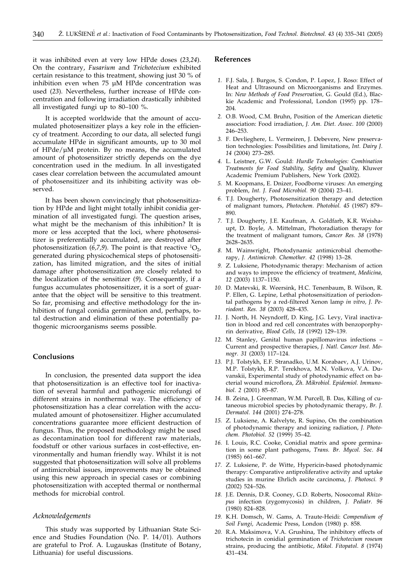it was inhibited even at very low HPde doses (*23,24*). On the contrary, *Fusarium* and *Trichotecium* exhibited certain resistance to this treatment, showing just 30 % of inhibition even when 75 µM HPde concentration was used (*23*). Nevertheless, further increase of HPde concentration and following irradiation drastically inhibited all investigated fungi up to 80–100 %.

It is accepted worldwide that the amount of accumulated photosensitizer plays a key role in the efficiency of treatment. According to our data, all selected fungi accumulate HPde in significant amounts, up to 30 mol of HPde/µM protein. By no means, the accumulated amount of photosensitizer strictly depends on the dye concentration used in the medium. In all investigated cases clear correlation between the accumulated amount of photosensitizer and its inhibiting activity was observed.

It has been shown convincingly that photosensitization by HPde and light might totally inhibit conidia germination of all investigated fungi. The question arises, what might be the mechanism of this inhibition? It is more or less accepted that the loci, where photosensitizer is preferentially accumulated, are destroyed after photosensitization (6,7,9). The point is that reactive  ${}^{1}O_{2}$ , generated during physicochemical steps of photosensitization, has limited migration, and the sites of initial damage after photosensitization are closely related to the localization of the sensitizer (*9*). Consequently, if a fungus accumulates photosensitizer, it is a sort of guarantee that the object will be sensitive to this treatment. So far, promising and effective methodology for the inhibition of fungal conidia germination and, perhaps, total destruction and elimination of these potentially pathogenic microorganisms seems possible.

### **Conclusions**

In conclusion, the presented data support the idea that photosensitization is an effective tool for inactivation of several harmful and pathogenic microfungi of different strains in nonthermal way. The efficiency of photosensitization has a clear correlation with the accumulated amount of photosensitizer. Higher accumulated concentrations guarantee more efficient destruction of fungus. Thus, the proposed methodology might be used as decontamination tool for different raw materials, foodstuff or other various surfaces in cost-effective, environmentally and human friendly way. Whilst it is not suggested that photosensitization will solve all problems of antimicrobial issues, improvements may be obtained using this new approach in special cases or combining photosensitization with accepted thermal or nonthermal methods for microbial control.

#### *Acknowledgements*

This study was supported by Lithuanian State Science and Studies Foundation (No. P. 14/01). Authors are grateful to Prof. A. Lugauskas (Institute of Botany, Lithuania) for useful discussions.

#### **References**

- *1.* F.J. Sala, J. Burgos, S. Condon, P. Lopez, J. Roso: Effect of Heat and Ultrasound on Microorganisms and Enzymes. In: *New Methods of Food Preservation,* G. Gould (Ed.), Blackie Academic and Professional, London (1995) pp. 178– 204.
- *2.* O.B. Wood, C.M. Bruhn, Position of the American dietetic association: Food irradiation, *J. Am. Diet. Assoc*. *100* (2000) 246–253.
- *3.* F. Devlieghere, L. Vermeiren, J. Debevere, New preservation technologies: Possibilities and limitations, *Int. Dairy J*. *14* (2004) 273–285.
- *4.* L. Leistner, G.W. Gould: *Hurdle Technologies: Combination Treatments for Food Stability, Safety and Quality,* Kluwer Academic Premium Publishers, New York (2002).
- *5.* M. Koopmans, E. Dnizer, Foodborne viruses: An emerging problem, *Int. J. Food Microbiol. 90* (2004) 23–41.
- *6.* T.J. Dougherty, Photosensitization therapy and detection of malignant tumors, *Photochem*. *Photobiol. 45* (1987) 879– 890.
- *7.* T.J. Dougherty, J.E. Kaufman, A. Goldfarb, K.R. Weishaupt, D. Boyle, A. Mittelman, Photoradiation therapy for the treatment of malignant tumors, *Cancer Res. 38* (1978) 2628–2635.
- *8.* M. Wainwright, Photodynamic antimicrobial chemotherapy, *J. Antimicrob. Chemother. 42* (1998) 13–28.
- *9.* Z. Luksiene, Photodynamic therapy: Mechanism of action and ways to improve the efficiency of treatment, *Medicina, 12* (2003) 1137–1150.
- *10.* D. Matevski, R. Weersink, H.C. Tenenbaum, B. Wilson, R. P. Ellen, G. Lepine, Lethal photosensitization of periodontal pathogens by a red-filtered Xenon lamp *in vitro, J. Periodont. Res. 38* (2003) 428–435.
- *11.* J. North, H. Neyndorff, D. King, J.G. Levy, Viral inactivation in blood and red cell concentrates with benzoporphyrin derivative, *Blood Cells, 18* (1992) 129–139.
- *12.* M. Stanley, Genital human papillomavirus infections Current and prospective therapies, *J. Natl. Cancer Inst. Monogr. 31* (2003) 117–124.
- *13.* P.J. Tolstykh, E.F. Stranadko, U.M. Korabaev, A.J. Urinov, M.P. Tolstykh, R.P. Terekhova, M.N. Volkova, V.A. Duvanskii, Experimental study of photodynamic effect on bacterial wound microflora, *Zh. Mikrobiol. Epidemiol. Immunobiol. 2* (2001) 85–87.
- *14.* B. Zeina, J. Greenman, W.M. Purcell, B. Das, Killing of cutaneous microbiol species by photodynamic therapy, *Br. J. Dermatol*. *144* (2001) 274–278.
- *15.* Z. Luksiene, A. Kalvelyte, R. Supino, On the combination of photodynamic therapy and ionizing radiation, *J. Photochem. Photobiol. 52* (1999) 35–42.
- *16.* I. Louis, R.C. Cooke, Conidial matrix and spore germination in some plant pathogens, *Trans. Br. Mycol. Soc*. *84* (1985) 661–667.
- *17.* Z. Luksiene, P. de Witte, Hypericin-based photodynamic therapy: Comparative antiproliferative activity and uptake studies in murine Ehrlich ascite carcinoma, *J. Photosci. 9* (2002) 524–526.
- *18.* J.E. Dennis, D.R. Cooney, G.D. Roberts, Nosocomal *Rhizopus* infection (zygomycosis) in children, *J. Pediatr. 96* (1980) 824–828.
- *19.* K.H. Domsch, W. Gams, A. Traute-Heidi: *Compendium of Soil Fungi,* Academic Press, London (1980) p. 858.
- *20.* R.A. Maksimova, V.A. Grushina, The inhibitory effects of trichotecin in conidial germination of *Trichotecium roseum* strains, producing the antibiotic, *Mikol. Fitopatol*. *8* (1974) 431–434.